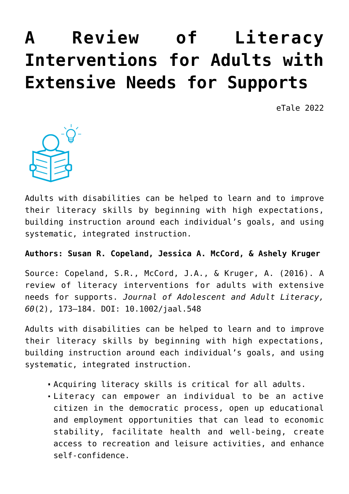# **[A Review of Literacy](https://dev.taleafrica.com/2020/11/30/a-review-of-literacy-interventions-for-adults-with-extensive-needs-for-supports/) [Interventions for Adults with](https://dev.taleafrica.com/2020/11/30/a-review-of-literacy-interventions-for-adults-with-extensive-needs-for-supports/) [Extensive Needs for Supports](https://dev.taleafrica.com/2020/11/30/a-review-of-literacy-interventions-for-adults-with-extensive-needs-for-supports/)**

eTale 2022



Adults with disabilities can be helped to learn and to improve their literacy skills by beginning with high expectations, building instruction around each individual's goals, and using systematic, integrated instruction.

**Authors: Susan R. Copeland, Jessica A. McCord, & Ashely Kruger**

Source: Copeland, S.R., McCord, J.A., & Kruger, A. (2016). A review of literacy interventions for adults with extensive needs for supports. *Journal of Adolescent and Adult Literacy, 60*(2), 173–184. DOI: 10.1002/jaal.548

Adults with disabilities can be helped to learn and to improve their literacy skills by beginning with high expectations, building instruction around each individual's goals, and using systematic, integrated instruction.

- Acquiring literacy skills is critical for all adults.
- Literacy can empower an individual to be an active citizen in the democratic process, open up educational and employment opportunities that can lead to economic stability, facilitate health and well-being, create access to recreation and leisure activities, and enhance self-confidence.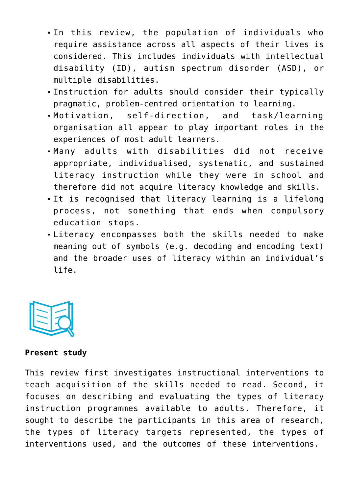- In this review, the population of individuals who require assistance across all aspects of their lives is considered. This includes individuals with intellectual disability (ID), autism spectrum disorder (ASD), or multiple disabilities.
- Instruction for adults should consider their typically pragmatic, problem-centred orientation to learning.
- Motivation, self-direction, and task/learning organisation all appear to play important roles in the experiences of most adult learners.
- Many adults with disabilities did not receive appropriate, individualised, systematic, and sustained literacy instruction while they were in school and therefore did not acquire literacy knowledge and skills.
- It is recognised that literacy learning is a lifelong process, not something that ends when compulsory education stops.
- Literacy encompasses both the skills needed to make meaning out of symbols (e.g. decoding and encoding text) and the broader uses of literacy within an individual's life.



### **Present study**

This review first investigates instructional interventions to teach acquisition of the skills needed to read. Second, it focuses on describing and evaluating the types of literacy instruction programmes available to adults. Therefore, it sought to describe the participants in this area of research, the types of literacy targets represented, the types of interventions used, and the outcomes of these interventions.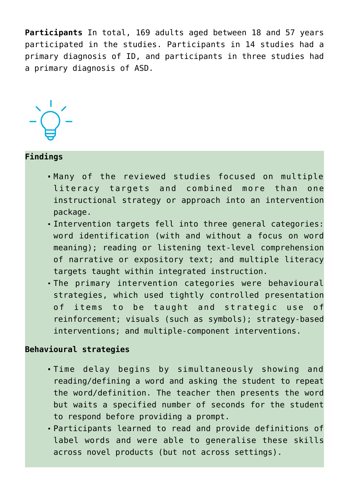**Participants** In total, 169 adults aged between 18 and 57 years participated in the studies. Participants in 14 studies had a primary diagnosis of ID, and participants in three studies had a primary diagnosis of ASD.



## **Findings**

- Many of the reviewed studies focused on multiple literacy targets and combined more than one instructional strategy or approach into an intervention package.
- Intervention targets fell into three general categories: word identification (with and without a focus on word meaning); reading or listening text-level comprehension of narrative or expository text; and multiple literacy targets taught within integrated instruction.
- The primary intervention categories were behavioural strategies, which used tightly controlled presentation of items to be taught and strategic use of reinforcement; visuals (such as symbols); strategy-based interventions; and multiple-component interventions.

# **Behavioural strategies**

- Time delay begins by simultaneously showing and reading/defining a word and asking the student to repeat the word/definition. The teacher then presents the word but waits a specified number of seconds for the student to respond before providing a prompt.
- Participants learned to read and provide definitions of label words and were able to generalise these skills across novel products (but not across settings).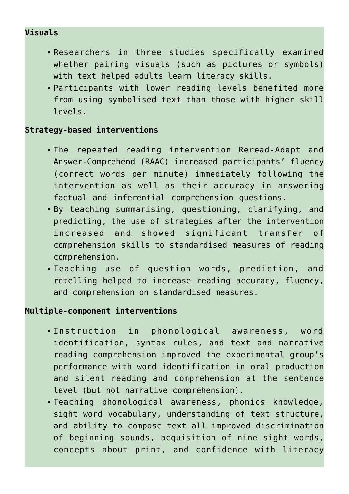# **Visuals**

- Researchers in three studies specifically examined whether pairing visuals (such as pictures or symbols) with text helped adults learn literacy skills.
- Participants with lower reading levels benefited more from using symbolised text than those with higher skill levels.

## **Strategy-based interventions**

- The repeated reading intervention Reread-Adapt and Answer-Comprehend (RAAC) increased participants' fluency (correct words per minute) immediately following the intervention as well as their accuracy in answering factual and inferential comprehension questions.
- By teaching summarising, questioning, clarifying, and predicting, the use of strategies after the intervention increased and showed significant transfer of comprehension skills to standardised measures of reading comprehension.
- Teaching use of question words, prediction, and retelling helped to increase reading accuracy, fluency, and comprehension on standardised measures.

#### **Multiple-component interventions**

- Instruction in phonological awareness, word identification, syntax rules, and text and narrative reading comprehension improved the experimental group's performance with word identification in oral production and silent reading and comprehension at the sentence level (but not narrative comprehension).
- Teaching phonological awareness, phonics knowledge, sight word vocabulary, understanding of text structure, and ability to compose text all improved discrimination of beginning sounds, acquisition of nine sight words, concepts about print, and confidence with literacy